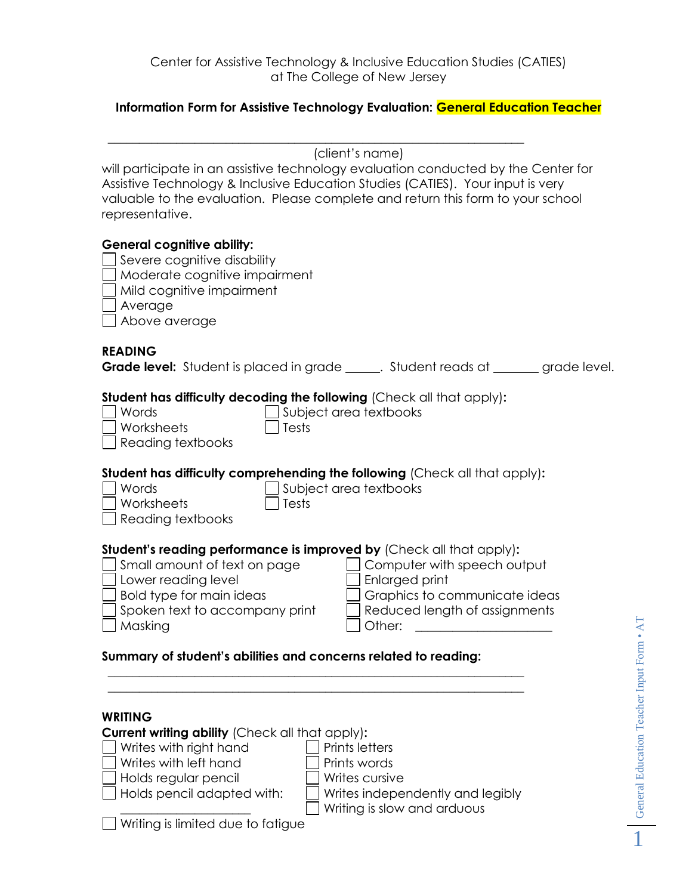#### **Information Form for Assistive Technology Evaluation: General Education Teacher**

|                                                                                                                                                                                                                                                                             |                                 | (client's name) |  |
|-----------------------------------------------------------------------------------------------------------------------------------------------------------------------------------------------------------------------------------------------------------------------------|---------------------------------|-----------------|--|
| will participate in an assistive technology evaluation conducted by the Center for<br>Assistive Technology & Inclusive Education Studies (CATIES). Your input is very<br>valuable to the evaluation. Please complete and return this form to your school<br>representative. |                                 |                 |  |
| <b>General cognitive ability:</b><br>Severe cognitive disability<br>Moderate cognitive impairment<br>Mild cognitive impairment<br>Average<br>Above average                                                                                                                  |                                 |                 |  |
| <b>READING</b><br><b>Grade level:</b> Student is placed in grade Student reads at grade level.                                                                                                                                                                              |                                 |                 |  |
| Student has difficulty decoding the following (Check all that apply):<br>Words<br>Worksheets<br>Reading textbooks                                                                                                                                                           | Subject area textbooks<br>Tests |                 |  |

**Student has difficulty comprehending the following** (Check all that apply)**:**

 $\Box$  Subject area textbooks  $\Box$  Worksheets  $\Box$  Tests

| $\Box$ Reading textbooks |  |
|--------------------------|--|
|                          |  |
|                          |  |

## **Student's reading performance is improved by** (Check all that apply)**:**

| Small amount of text on page   | $\Box$ Computer with speech output |
|--------------------------------|------------------------------------|
| Lower reading level            | $\Box$ Enlarged print              |
| Bold type for main ideas       | Graphics to communicate ideas      |
| Spoken text to accompany print | Reduced length of assignments      |
| Masking                        | 1 Other:                           |
|                                |                                    |

## **Summary of student's abilities and concerns related to reading:**

| <b>WRITING</b>                                         |                                  |
|--------------------------------------------------------|----------------------------------|
| <b>Current writing ability (Check all that apply):</b> |                                  |
| $\Box$ Writes with right hand                          | <b>Prints letters</b>            |
| $\Box$ Writes with left hand                           | Prints words                     |
| $\Box$ Holds regular pencil                            | Writes cursive                   |
| $\Box$ Holds pencil adapted with:                      | Writes independently and legibly |
|                                                        | Writing is slow and arduous      |
| Writing is limited due to fatigue                      |                                  |

\_\_\_\_\_\_\_\_\_\_\_\_\_\_\_\_\_\_\_\_\_\_\_\_\_\_\_\_\_\_\_\_\_\_\_\_\_\_\_\_\_\_\_\_\_\_\_\_\_\_\_\_\_\_\_\_\_\_\_\_\_\_\_\_\_\_\_